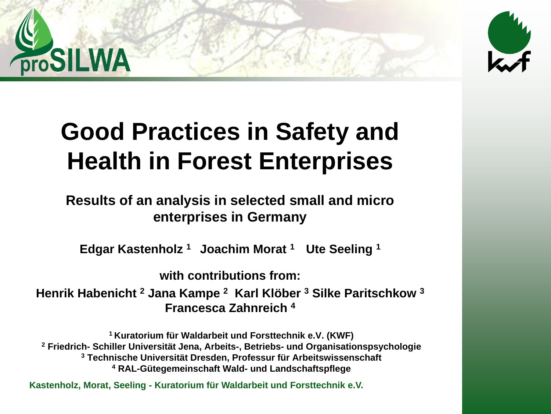



### **Good Practices in Safety and Health in Forest Enterprises**

#### **Results of an analysis in selected small and micro enterprises in Germany**

**Edgar Kastenholz <sup>1</sup>Joachim Morat <sup>1</sup>Ute Seeling <sup>1</sup>**

**with contributions from:** 

**Henrik Habenicht <sup>2</sup> Jana Kampe <sup>2</sup> Karl Klöber <sup>3</sup> Silke Paritschkow <sup>3</sup> Francesca Zahnreich <sup>4</sup>**

**Kuratorium für Waldarbeit und Forsttechnik e.V. (KWF) Friedrich- Schiller Universität Jena, Arbeits-, Betriebs- und Organisationspsychologie Technische Universität Dresden, Professur für Arbeitswissenschaft RAL-Gütegemeinschaft Wald- und Landschaftspflege**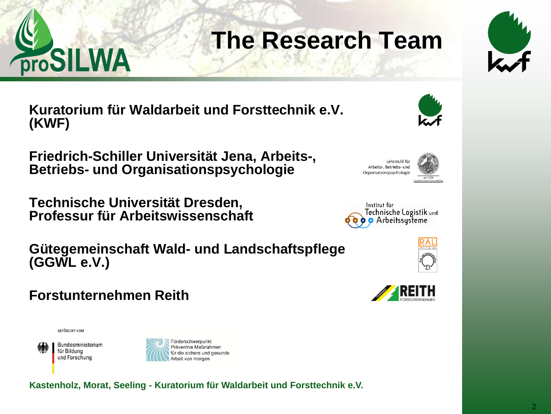

### **The Research Team**



**Kuratorium für Waldarbeit und Forsttechnik e.V. (KWF)**

**Friedrich-Schiller Universität Jena, Arbeits-, Betriebs- und Organisationspsychologie** 

**Technische Universität Dresden, Professur für Arbeitswissenschaft**

**Gütegemeinschaft Wald- und Landschaftspflege (GGWL e.V.)** 

#### **Forstunternehmen Reith**

GEFÖRDERT VOM

Bundesministerium für Bildung und Forschung











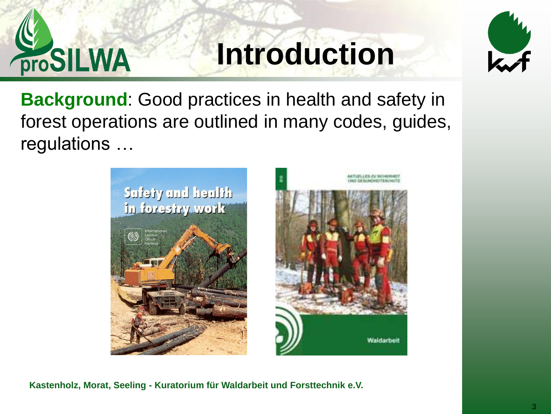

### **Introduction**



**Background**: Good practices in health and safety in forest operations are outlined in many codes, guides, regulations …



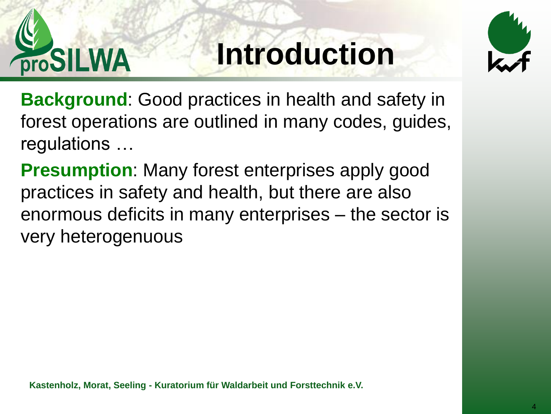

# **Introduction**



**Background**: Good practices in health and safety in forest operations are outlined in many codes, guides, regulations …

**Presumption**: Many forest enterprises apply good practices in safety and health, but there are also enormous deficits in many enterprises – the sector is very heterogenuous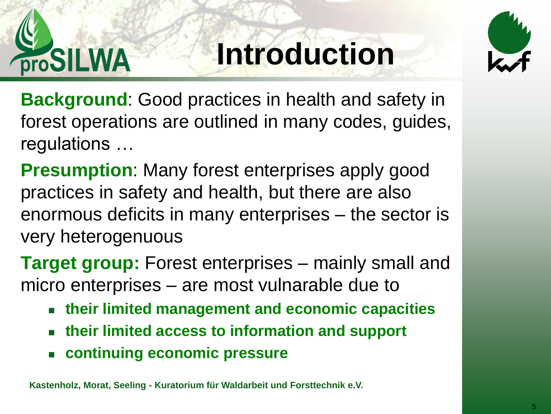

# **Introduction**



**Background**: Good practices in health and safety in forest operations are outlined in many codes, guides, regulations …

**Presumption**: Many forest enterprises apply good practices in safety and health, but there are also enormous deficits in many enterprises – the sector is very heterogenuous

**Target group:** Forest enterprises – mainly small and micro enterprises – are most vulnarable due to

- **their limited management and economic capacities**
- **their limited access to information and support**
- **continuing economic pressure**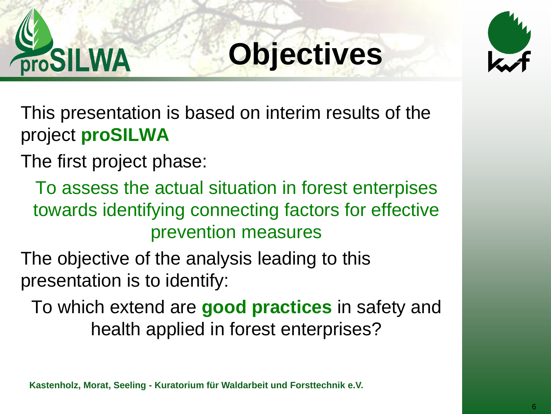

# **Objectives**



This presentation is based on interim results of the project **proSILWA** 

The first project phase:

To assess the actual situation in forest enterpises towards identifying connecting factors for effective prevention measures

The objective of the analysis leading to this presentation is to identify:

To which extend are **good practices** in safety and health applied in forest enterprises?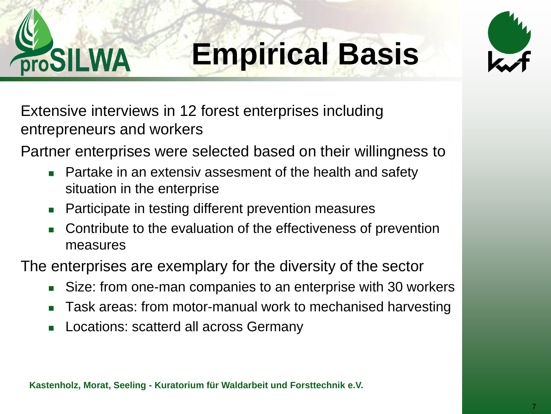

# **Empirical Basis**



Extensive interviews in 12 forest enterprises including entrepreneurs and workers

Partner enterprises were selected based on their willingness to

- **Partake in an extensiv assesment of the health and safety** situation in the enterprise
- Participate in testing different prevention measures
- Contribute to the evaluation of the effectiveness of prevention measures

The enterprises are exemplary for the diversity of the sector

- Size: from one-man companies to an enterprise with 30 workers
- Task areas: from motor-manual work to mechanised harvesting
- **Locations: scatterd all across Germany**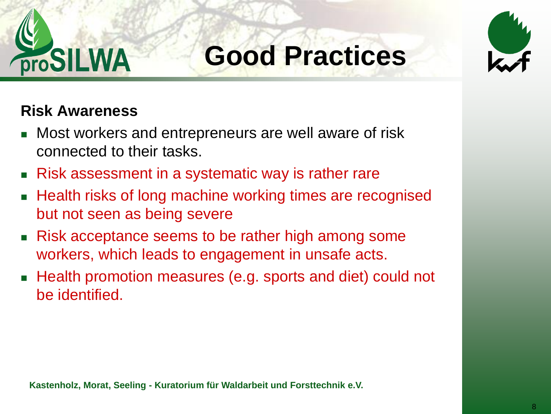



#### **Risk Awareness**

- Most workers and entrepreneurs are well aware of risk connected to their tasks.
- Risk assessment in a systematic way is rather rare
- Health risks of long machine working times are recognised but not seen as being severe
- Risk acceptance seems to be rather high among some workers, which leads to engagement in unsafe acts.
- Health promotion measures (e.g. sports and diet) could not be identified.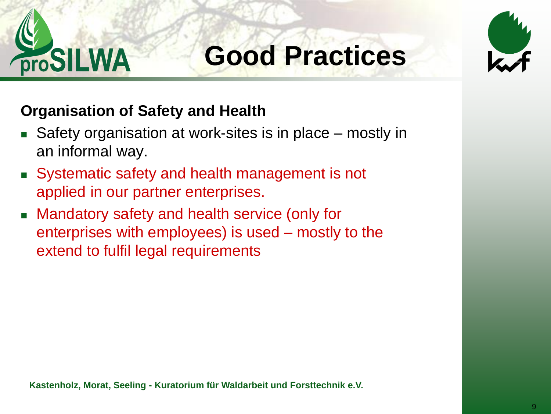



#### **Organisation of Safety and Health**

- Safety organisation at work-sites is in place mostly in an informal way.
- Systematic safety and health management is not applied in our partner enterprises.
- Mandatory safety and health service (only for enterprises with employees) is used – mostly to the extend to fulfil legal requirements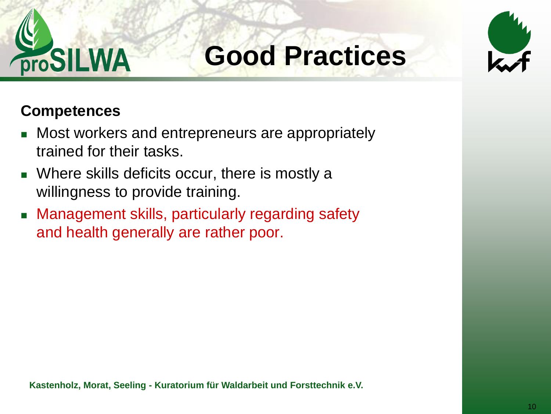



#### **Competences**

- **Nost workers and entrepreneurs are appropriately** trained for their tasks.
- **Number 6 Soluts** deficits occur, there is mostly a willingness to provide training.
- **EXAM** Management skills, particularly regarding safety and health generally are rather poor.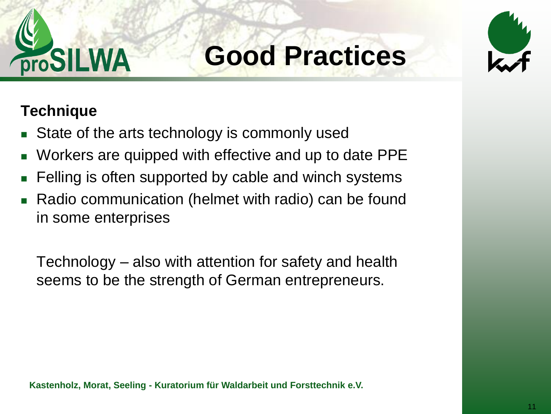



#### **Technique**

- State of the arts technology is commonly used
- Workers are quipped with effective and up to date PPE
- Felling is often supported by cable and winch systems
- Radio communication (helmet with radio) can be found in some enterprises

Technology – also with attention for safety and health seems to be the strength of German entrepreneurs.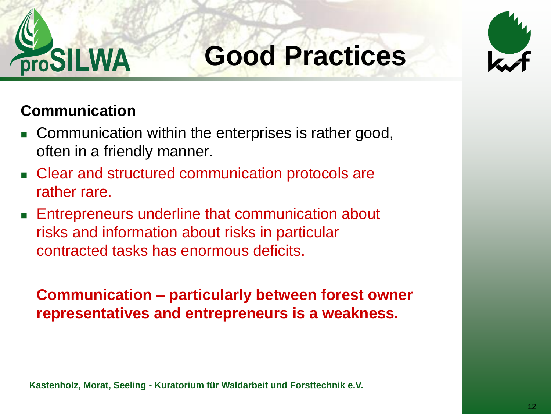



#### **Communication**

- **Communication within the enterprises is rather good,** often in a friendly manner.
- **EXECLE** Clear and structured communication protocols are rather rare.
- **Entrepreneurs underline that communication about** risks and information about risks in particular contracted tasks has enormous deficits.

**Communication – particularly between forest owner representatives and entrepreneurs is a weakness.**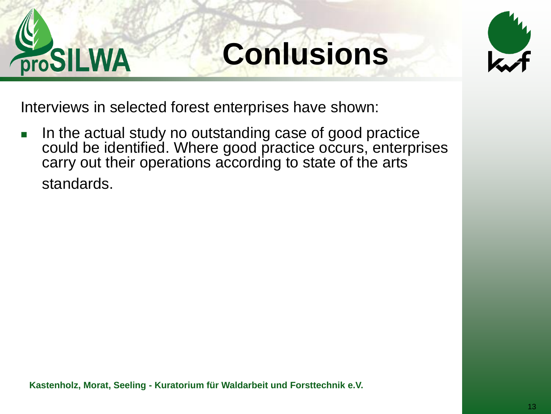

# **Conlusions**



Interviews in selected forest enterprises have shown:

 In the actual study no outstanding case of good practice could be identified. Where good practice occurs, enterprises carry out their operations according to state of the arts standards.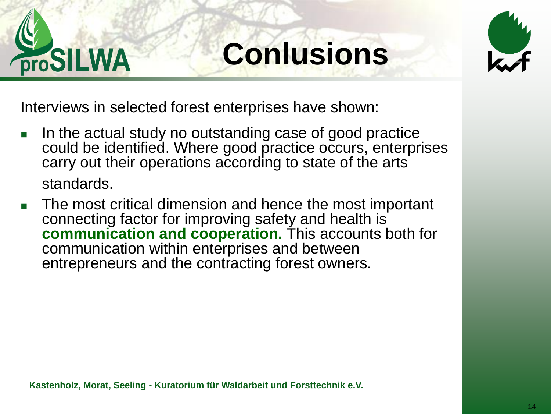

# **Conlusions**



Interviews in selected forest enterprises have shown:

- In the actual study no outstanding case of good practice could be identified. Where good practice occurs, enterprises carry out their operations according to state of the arts standards.
- The most critical dimension and hence the most important connecting factor for improving safety and health is **communication and cooperation.** This accounts both for communication within enterprises and between entrepreneurs and the contracting forest owners.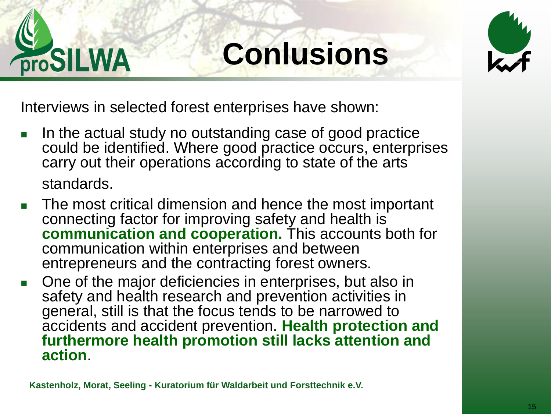

# **Conlusions**



Interviews in selected forest enterprises have shown:

- In the actual study no outstanding case of good practice could be identified. Where good practice occurs, enterprises carry out their operations according to state of the arts standards.
- The most critical dimension and hence the most important connecting factor for improving safety and health is **communication and cooperation.** This accounts both for communication within enterprises and between entrepreneurs and the contracting forest owners.
- One of the major deficiencies in enterprises, but also in safety and health research and prevention activities in general, still is that the focus tends to be narrowed to accidents and accident prevention. **Health protection and furthermore health promotion still lacks attention and action**.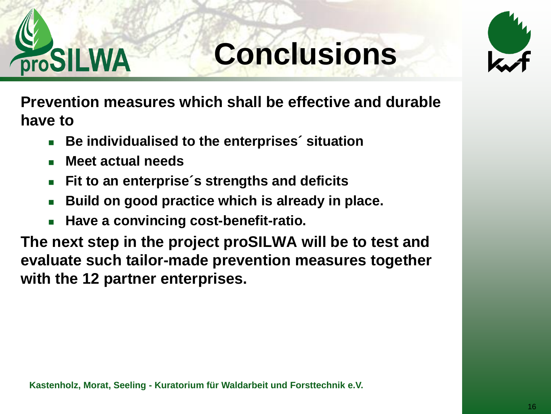

# **Conclusions**



**Prevention measures which shall be effective and durable have to**

- **Be individualised to the enterprises´ situation**
- **Meet actual needs**
- **Fit to an enterprise´s strengths and deficits**
- **Build on good practice which is already in place.**
- **Have a convincing cost-benefit-ratio.**

**The next step in the project proSILWA will be to test and evaluate such tailor-made prevention measures together with the 12 partner enterprises.**